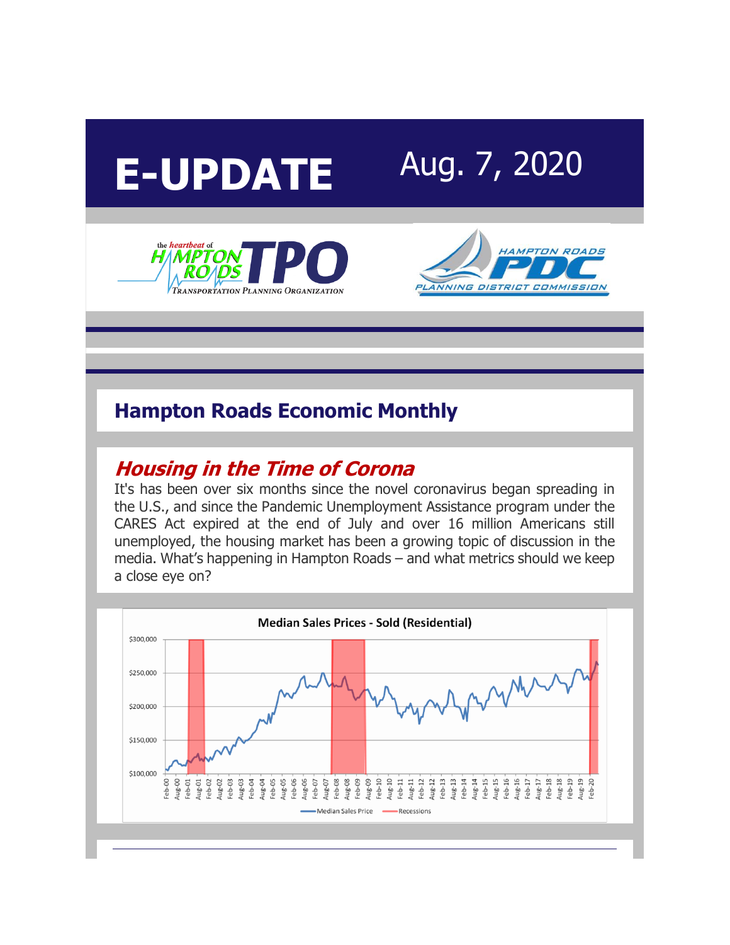





## **Hampton Roads Economic Monthly**

#### **[Housing in the Time of Corona](http://r20.rs6.net/tn.jsp?f=001Q6RfyooD4aYBTEh_jSxhbtDV8VJmXTqXOxVRsxQl72tL2Cqd4PyzIIYPnlwnJ60Flq5gXlHqpUy6W4chqekKBlssq0DFFAgUj9ZF2Ucmq9O6YwkTeJffIsQgKDdZx69mSn3_0YNgqOlnxfJMs-FoP8SuwlZxFvIe2yxRIy5b1Sv9wP6Z4hdiwXMutwI_kOqVQqtXRG8OzsA=&c=nxi7SS8appErdcy0zQujpFQgiS9xpDJvcdwUw6312CIUkwxj7FS5bg==&ch=fzm1lxN9YSwYTCN4n2IvYXkxwFHQf77Q4YlAntbHqOoGCAQ5RiOH6A==)**

It's has been over six months since the novel coronavirus began spreading in the U.S., and since the Pandemic Unemployment Assistance program under the CARES Act expired at the end of July and over 16 million Americans still unemployed, the housing market has been a growing topic of discussion in the media. What's happening in Hampton Roads – and what metrics should we keep a close eye on?

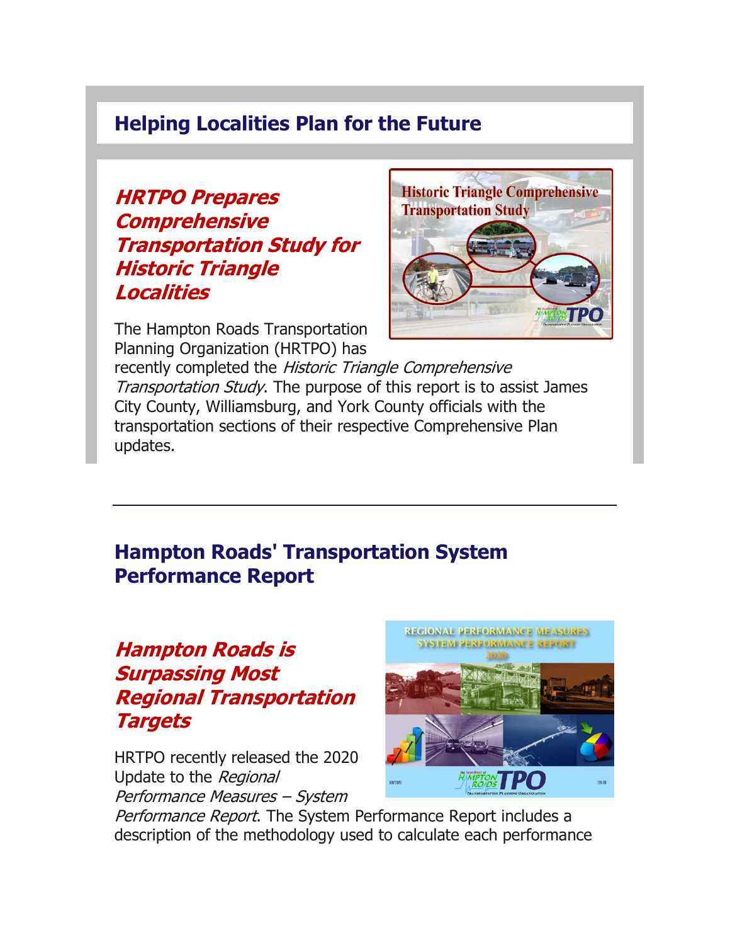#### **Helping Localities Plan for the Future**

**[HRTPO Prepares](http://r20.rs6.net/tn.jsp?f=001Q6RfyooD4aYBTEh_jSxhbtDV8VJmXTqXOxVRsxQl72tL2Cqd4PyzIIYPnlwnJ60FZLS3wqB8icOfewSKsBFdWraLN0SFul5CyY3JKxR_EbgV3DiT-hKYMEr7YzGfV_tL-4jlj98kHak_h7I0lhirX19lcTgC2q-Tu5C1vMjenP3R1gk_6QEYsDihVoHAgYGncZ0-7HEPCeLXr5G3mi2KBNc9Md5haB_No8Qfb77OTV6UxSCMeja0Zuj2xosMttDq6vlbDGzYA2PyJ4-SWsnPtMe_8S-vLPsTKlBWJeWvTsxFa3nIDSZnRw==&c=nxi7SS8appErdcy0zQujpFQgiS9xpDJvcdwUw6312CIUkwxj7FS5bg==&ch=fzm1lxN9YSwYTCN4n2IvYXkxwFHQf77Q4YlAntbHqOoGCAQ5RiOH6A==)  [Comprehensive](http://r20.rs6.net/tn.jsp?f=001Q6RfyooD4aYBTEh_jSxhbtDV8VJmXTqXOxVRsxQl72tL2Cqd4PyzIIYPnlwnJ60FZLS3wqB8icOfewSKsBFdWraLN0SFul5CyY3JKxR_EbgV3DiT-hKYMEr7YzGfV_tL-4jlj98kHak_h7I0lhirX19lcTgC2q-Tu5C1vMjenP3R1gk_6QEYsDihVoHAgYGncZ0-7HEPCeLXr5G3mi2KBNc9Md5haB_No8Qfb77OTV6UxSCMeja0Zuj2xosMttDq6vlbDGzYA2PyJ4-SWsnPtMe_8S-vLPsTKlBWJeWvTsxFa3nIDSZnRw==&c=nxi7SS8appErdcy0zQujpFQgiS9xpDJvcdwUw6312CIUkwxj7FS5bg==&ch=fzm1lxN9YSwYTCN4n2IvYXkxwFHQf77Q4YlAntbHqOoGCAQ5RiOH6A==)  [Transportation Study for](http://r20.rs6.net/tn.jsp?f=001Q6RfyooD4aYBTEh_jSxhbtDV8VJmXTqXOxVRsxQl72tL2Cqd4PyzIIYPnlwnJ60FZLS3wqB8icOfewSKsBFdWraLN0SFul5CyY3JKxR_EbgV3DiT-hKYMEr7YzGfV_tL-4jlj98kHak_h7I0lhirX19lcTgC2q-Tu5C1vMjenP3R1gk_6QEYsDihVoHAgYGncZ0-7HEPCeLXr5G3mi2KBNc9Md5haB_No8Qfb77OTV6UxSCMeja0Zuj2xosMttDq6vlbDGzYA2PyJ4-SWsnPtMe_8S-vLPsTKlBWJeWvTsxFa3nIDSZnRw==&c=nxi7SS8appErdcy0zQujpFQgiS9xpDJvcdwUw6312CIUkwxj7FS5bg==&ch=fzm1lxN9YSwYTCN4n2IvYXkxwFHQf77Q4YlAntbHqOoGCAQ5RiOH6A==)  [Historic Triangle](http://r20.rs6.net/tn.jsp?f=001Q6RfyooD4aYBTEh_jSxhbtDV8VJmXTqXOxVRsxQl72tL2Cqd4PyzIIYPnlwnJ60FZLS3wqB8icOfewSKsBFdWraLN0SFul5CyY3JKxR_EbgV3DiT-hKYMEr7YzGfV_tL-4jlj98kHak_h7I0lhirX19lcTgC2q-Tu5C1vMjenP3R1gk_6QEYsDihVoHAgYGncZ0-7HEPCeLXr5G3mi2KBNc9Md5haB_No8Qfb77OTV6UxSCMeja0Zuj2xosMttDq6vlbDGzYA2PyJ4-SWsnPtMe_8S-vLPsTKlBWJeWvTsxFa3nIDSZnRw==&c=nxi7SS8appErdcy0zQujpFQgiS9xpDJvcdwUw6312CIUkwxj7FS5bg==&ch=fzm1lxN9YSwYTCN4n2IvYXkxwFHQf77Q4YlAntbHqOoGCAQ5RiOH6A==)  [Localities](http://r20.rs6.net/tn.jsp?f=001Q6RfyooD4aYBTEh_jSxhbtDV8VJmXTqXOxVRsxQl72tL2Cqd4PyzIIYPnlwnJ60FZLS3wqB8icOfewSKsBFdWraLN0SFul5CyY3JKxR_EbgV3DiT-hKYMEr7YzGfV_tL-4jlj98kHak_h7I0lhirX19lcTgC2q-Tu5C1vMjenP3R1gk_6QEYsDihVoHAgYGncZ0-7HEPCeLXr5G3mi2KBNc9Md5haB_No8Qfb77OTV6UxSCMeja0Zuj2xosMttDq6vlbDGzYA2PyJ4-SWsnPtMe_8S-vLPsTKlBWJeWvTsxFa3nIDSZnRw==&c=nxi7SS8appErdcy0zQujpFQgiS9xpDJvcdwUw6312CIUkwxj7FS5bg==&ch=fzm1lxN9YSwYTCN4n2IvYXkxwFHQf77Q4YlAntbHqOoGCAQ5RiOH6A==)**



The Hampton Roads Transportation Planning Organization (HRTPO) has

recently completed the Historic Triangle Comprehensive Transportation Study. The purpose of this report is to assist James City County, Williamsburg, and York County officials with the transportation sections of their respective Comprehensive Plan updates.

## **Hampton Roads' Transportation System Performance Report**

## **[Hampton Roads is](http://r20.rs6.net/tn.jsp?f=001Q6RfyooD4aYBTEh_jSxhbtDV8VJmXTqXOxVRsxQl72tL2Cqd4PyzIIYPnlwnJ60Fm2YC0ADQpiXq6CXZiAN673cElh0vJl4kqUDEHxjRlMWhOzNBKxAptbjbRlTG4Wd31R-roRzcaZ-DtgxgP4Mk3JCgO1EWFwECr3TInzqaT8VQuYy_yh_ZFsX4R2yGTV2QDElSyLuzED9Un1TAmS-Mb31sMSZ6K2IdfieDQnPMqYCD1cPTsd6KzhZlYWQIzSV2Aq7yETL4FCXVIFxjLx5ipbI9Rirz7yBc&c=nxi7SS8appErdcy0zQujpFQgiS9xpDJvcdwUw6312CIUkwxj7FS5bg==&ch=fzm1lxN9YSwYTCN4n2IvYXkxwFHQf77Q4YlAntbHqOoGCAQ5RiOH6A==)  [Surpassing Most](http://r20.rs6.net/tn.jsp?f=001Q6RfyooD4aYBTEh_jSxhbtDV8VJmXTqXOxVRsxQl72tL2Cqd4PyzIIYPnlwnJ60Fm2YC0ADQpiXq6CXZiAN673cElh0vJl4kqUDEHxjRlMWhOzNBKxAptbjbRlTG4Wd31R-roRzcaZ-DtgxgP4Mk3JCgO1EWFwECr3TInzqaT8VQuYy_yh_ZFsX4R2yGTV2QDElSyLuzED9Un1TAmS-Mb31sMSZ6K2IdfieDQnPMqYCD1cPTsd6KzhZlYWQIzSV2Aq7yETL4FCXVIFxjLx5ipbI9Rirz7yBc&c=nxi7SS8appErdcy0zQujpFQgiS9xpDJvcdwUw6312CIUkwxj7FS5bg==&ch=fzm1lxN9YSwYTCN4n2IvYXkxwFHQf77Q4YlAntbHqOoGCAQ5RiOH6A==)  [Regional Transportation](http://r20.rs6.net/tn.jsp?f=001Q6RfyooD4aYBTEh_jSxhbtDV8VJmXTqXOxVRsxQl72tL2Cqd4PyzIIYPnlwnJ60Fm2YC0ADQpiXq6CXZiAN673cElh0vJl4kqUDEHxjRlMWhOzNBKxAptbjbRlTG4Wd31R-roRzcaZ-DtgxgP4Mk3JCgO1EWFwECr3TInzqaT8VQuYy_yh_ZFsX4R2yGTV2QDElSyLuzED9Un1TAmS-Mb31sMSZ6K2IdfieDQnPMqYCD1cPTsd6KzhZlYWQIzSV2Aq7yETL4FCXVIFxjLx5ipbI9Rirz7yBc&c=nxi7SS8appErdcy0zQujpFQgiS9xpDJvcdwUw6312CIUkwxj7FS5bg==&ch=fzm1lxN9YSwYTCN4n2IvYXkxwFHQf77Q4YlAntbHqOoGCAQ5RiOH6A==)  [Targets](http://r20.rs6.net/tn.jsp?f=001Q6RfyooD4aYBTEh_jSxhbtDV8VJmXTqXOxVRsxQl72tL2Cqd4PyzIIYPnlwnJ60Fm2YC0ADQpiXq6CXZiAN673cElh0vJl4kqUDEHxjRlMWhOzNBKxAptbjbRlTG4Wd31R-roRzcaZ-DtgxgP4Mk3JCgO1EWFwECr3TInzqaT8VQuYy_yh_ZFsX4R2yGTV2QDElSyLuzED9Un1TAmS-Mb31sMSZ6K2IdfieDQnPMqYCD1cPTsd6KzhZlYWQIzSV2Aq7yETL4FCXVIFxjLx5ipbI9Rirz7yBc&c=nxi7SS8appErdcy0zQujpFQgiS9xpDJvcdwUw6312CIUkwxj7FS5bg==&ch=fzm1lxN9YSwYTCN4n2IvYXkxwFHQf77Q4YlAntbHqOoGCAQ5RiOH6A==)**

HRTPO recently released the 2020 Update to the Regional Performance Measures – System



Performance Report. The System Performance Report includes a description of the methodology used to calculate each performance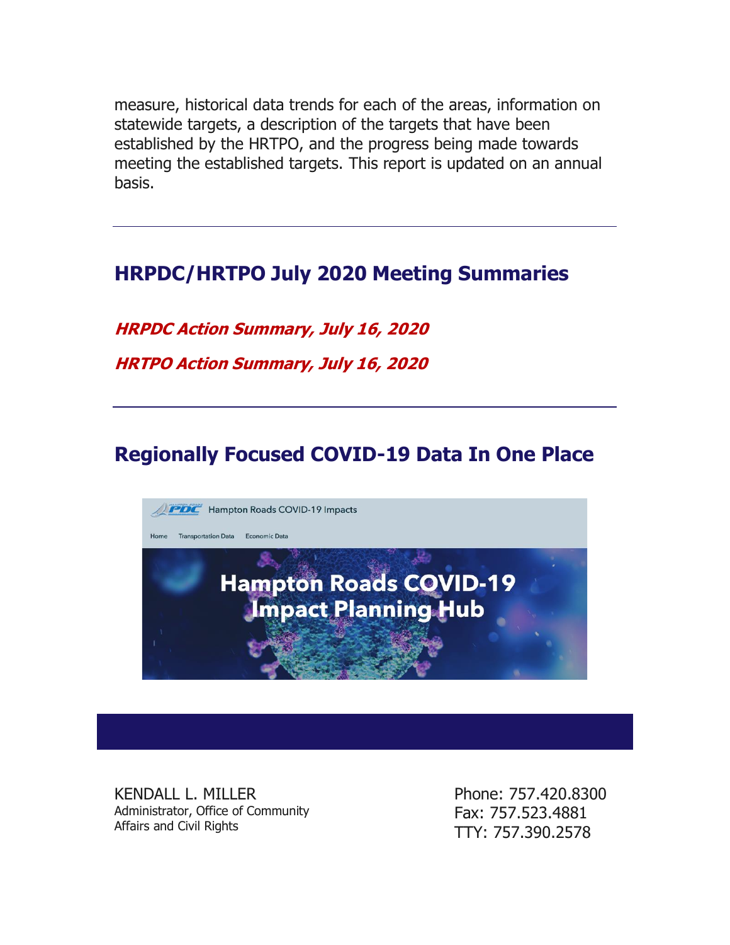measure, historical data trends for each of the areas, information on statewide targets, a description of the targets that have been established by the HRTPO, and the progress being made towards meeting the established targets. This report is updated on an annual basis.

## **HRPDC/HRTPO July 2020 Meeting Summaries**

**[HRPDC Action Summary, July 16, 2020](http://r20.rs6.net/tn.jsp?f=001Q6RfyooD4aYBTEh_jSxhbtDV8VJmXTqXOxVRsxQl72tL2Cqd4PyzIIYPnlwnJ60Fm0tZhR2SZRNi2VC_Itfm6VmDBbqn_Ygi_5qWC6Bdo5_FVrTHzcmgF7vpnxNS2SYlSVvFpPGgQeDUKodpxYvtaN-bxyoWQqdiq-9TQfFJdfQN3PdFPO024U34BZPDELumnIi_XYpjDxHQIsPo91srP_EGt0CTw0nY&c=nxi7SS8appErdcy0zQujpFQgiS9xpDJvcdwUw6312CIUkwxj7FS5bg==&ch=fzm1lxN9YSwYTCN4n2IvYXkxwFHQf77Q4YlAntbHqOoGCAQ5RiOH6A==)**

**[HRTPO Action Summary, July 16, 2020](http://r20.rs6.net/tn.jsp?f=001Q6RfyooD4aYBTEh_jSxhbtDV8VJmXTqXOxVRsxQl72tL2Cqd4PyzIIYPnlwnJ60F3a9YkZVsMeDhkPMaO9_2AAHRyqiTk2A_SOkstUsdkUGPiSD4vttfPVNYU3CSTonZejW50DjBCkc1UNHDc1lcrtolTPnMLjdtE-q8gixT6Lia-uGj0dGIiwfsHZIwlvrNGfVWhzKFvwCuSCxjTGlDRNAUZeV0oVyI&c=nxi7SS8appErdcy0zQujpFQgiS9xpDJvcdwUw6312CIUkwxj7FS5bg==&ch=fzm1lxN9YSwYTCN4n2IvYXkxwFHQf77Q4YlAntbHqOoGCAQ5RiOH6A==)**

# **Regionally Focused COVID-19 Data In One Place**



KENDALL L. MILLER Administrator, Office of Community Affairs and Civil Rights

Phone: 757.420.8300 Fax: 757.523.4881 TTY: 757.390.2578